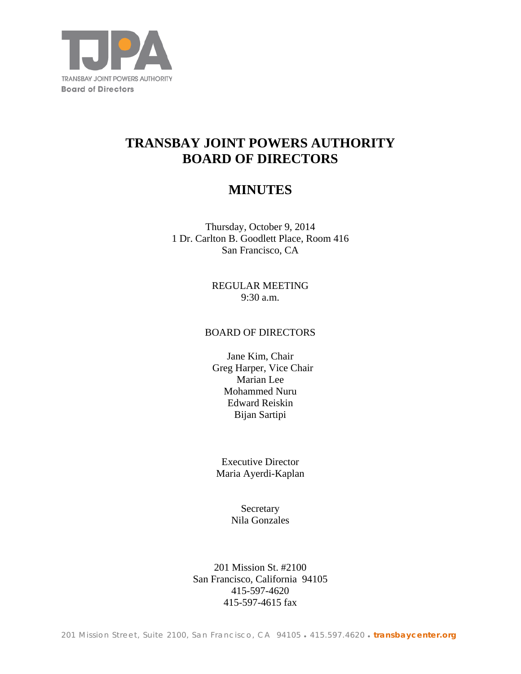

# **TRANSBAY JOINT POWERS AUTHORITY BOARD OF DIRECTORS**

## **MINUTES**

Thursday, October 9, 2014 1 Dr. Carlton B. Goodlett Place, Room 416 San Francisco, CA

> REGULAR MEETING 9:30 a.m.

## BOARD OF DIRECTORS

Jane Kim, Chair Greg Harper, Vice Chair Marian Lee Mohammed Nuru Edward Reiskin Bijan Sartipi

Executive Director Maria Ayerdi-Kaplan

> **Secretary** Nila Gonzales

201 Mission St. #2100 San Francisco, California 94105 415-597-4620 415-597-4615 fax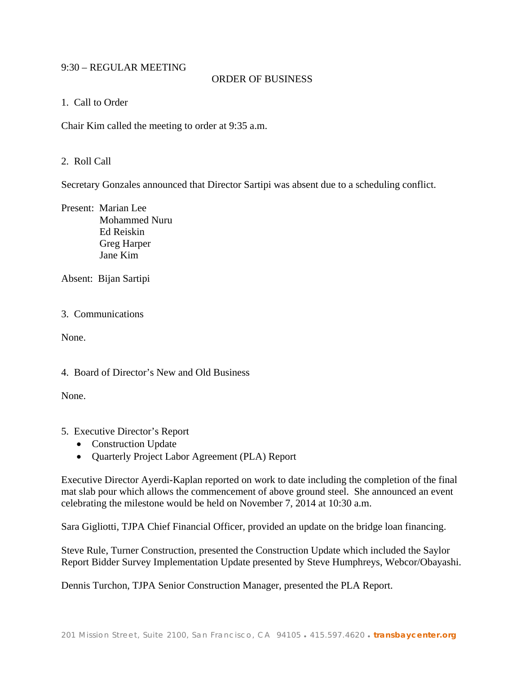## 9:30 – REGULAR MEETING

## ORDER OF BUSINESS

## 1. Call to Order

Chair Kim called the meeting to order at 9:35 a.m.

## 2. Roll Call

Secretary Gonzales announced that Director Sartipi was absent due to a scheduling conflict.

Present: Marian Lee Mohammed Nuru Ed Reiskin Greg Harper Jane Kim

Absent: Bijan Sartipi

## 3. Communications

None.

## 4. Board of Director's New and Old Business

None.

## 5. Executive Director's Report

- Construction Update
- Quarterly Project Labor Agreement (PLA) Report

Executive Director Ayerdi-Kaplan reported on work to date including the completion of the final mat slab pour which allows the commencement of above ground steel. She announced an event celebrating the milestone would be held on November 7, 2014 at 10:30 a.m.

Sara Gigliotti, TJPA Chief Financial Officer, provided an update on the bridge loan financing.

Steve Rule, Turner Construction, presented the Construction Update which included the Saylor Report Bidder Survey Implementation Update presented by Steve Humphreys, Webcor/Obayashi.

Dennis Turchon, TJPA Senior Construction Manager, presented the PLA Report.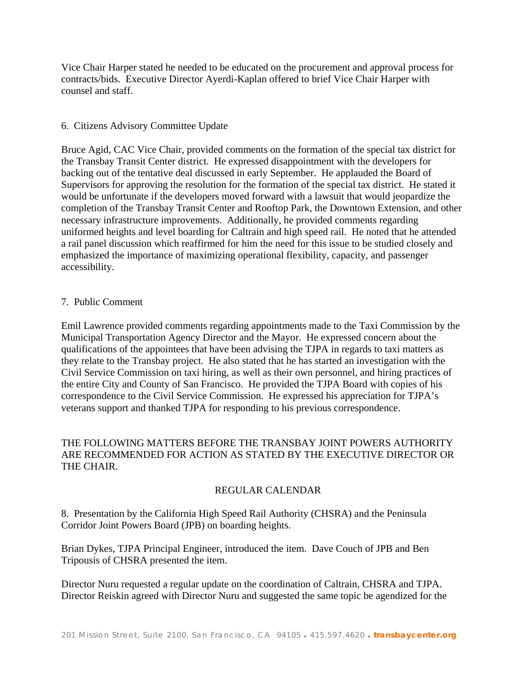Vice Chair Harper stated he needed to be educated on the procurement and approval process for contracts/bids. Executive Director Ayerdi-Kaplan offered to brief Vice Chair Harper with counsel and staff.

## 6. Citizens Advisory Committee Update

Bruce Agid, CAC Vice Chair, provided comments on the formation of the special tax district for the Transbay Transit Center district. He expressed disappointment with the developers for backing out of the tentative deal discussed in early September. He applauded the Board of Supervisors for approving the resolution for the formation of the special tax district. He stated it would be unfortunate if the developers moved forward with a lawsuit that would jeopardize the completion of the Transbay Transit Center and Rooftop Park, the Downtown Extension, and other necessary infrastructure improvements. Additionally, he provided comments regarding uniformed heights and level boarding for Caltrain and high speed rail. He noted that he attended a rail panel discussion which reaffirmed for him the need for this issue to be studied closely and emphasized the importance of maximizing operational flexibility, capacity, and passenger accessibility.

### 7. Public Comment

Emil Lawrence provided comments regarding appointments made to the Taxi Commission by the Municipal Transportation Agency Director and the Mayor. He expressed concern about the qualifications of the appointees that have been advising the TJPA in regards to taxi matters as they relate to the Transbay project. He also stated that he has started an investigation with the Civil Service Commission on taxi hiring, as well as their own personnel, and hiring practices of the entire City and County of San Francisco. He provided the TJPA Board with copies of his correspondence to the Civil Service Commission. He expressed his appreciation for TJPA's veterans support and thanked TJPA for responding to his previous correspondence.

## THE FOLLOWING MATTERS BEFORE THE TRANSBAY JOINT POWERS AUTHORITY ARE RECOMMENDED FOR ACTION AS STATED BY THE EXECUTIVE DIRECTOR OR THE CHAIR.

## REGULAR CALENDAR

8. Presentation by the California High Speed Rail Authority (CHSRA) and the Peninsula Corridor Joint Powers Board (JPB) on boarding heights.

Brian Dykes, TJPA Principal Engineer, introduced the item. Dave Couch of JPB and Ben Tripousis of CHSRA presented the item.

Director Nuru requested a regular update on the coordination of Caltrain, CHSRA and TJPA. Director Reiskin agreed with Director Nuru and suggested the same topic be agendized for the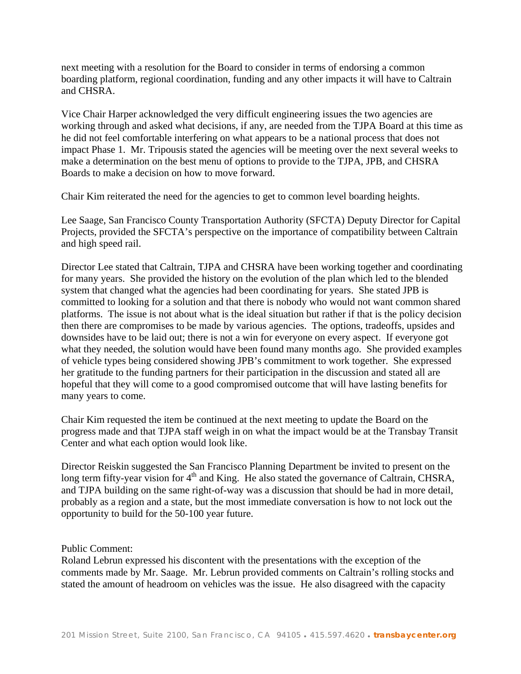next meeting with a resolution for the Board to consider in terms of endorsing a common boarding platform, regional coordination, funding and any other impacts it will have to Caltrain and CHSRA.

Vice Chair Harper acknowledged the very difficult engineering issues the two agencies are working through and asked what decisions, if any, are needed from the TJPA Board at this time as he did not feel comfortable interfering on what appears to be a national process that does not impact Phase 1. Mr. Tripousis stated the agencies will be meeting over the next several weeks to make a determination on the best menu of options to provide to the TJPA, JPB, and CHSRA Boards to make a decision on how to move forward.

Chair Kim reiterated the need for the agencies to get to common level boarding heights.

Lee Saage, San Francisco County Transportation Authority (SFCTA) Deputy Director for Capital Projects, provided the SFCTA's perspective on the importance of compatibility between Caltrain and high speed rail.

Director Lee stated that Caltrain, TJPA and CHSRA have been working together and coordinating for many years. She provided the history on the evolution of the plan which led to the blended system that changed what the agencies had been coordinating for years. She stated JPB is committed to looking for a solution and that there is nobody who would not want common shared platforms. The issue is not about what is the ideal situation but rather if that is the policy decision then there are compromises to be made by various agencies. The options, tradeoffs, upsides and downsides have to be laid out; there is not a win for everyone on every aspect. If everyone got what they needed, the solution would have been found many months ago. She provided examples of vehicle types being considered showing JPB's commitment to work together. She expressed her gratitude to the funding partners for their participation in the discussion and stated all are hopeful that they will come to a good compromised outcome that will have lasting benefits for many years to come.

Chair Kim requested the item be continued at the next meeting to update the Board on the progress made and that TJPA staff weigh in on what the impact would be at the Transbay Transit Center and what each option would look like.

Director Reiskin suggested the San Francisco Planning Department be invited to present on the long term fifty-year vision for  $4<sup>th</sup>$  and King. He also stated the governance of Caltrain, CHSRA, and TJPA building on the same right-of-way was a discussion that should be had in more detail, probably as a region and a state, but the most immediate conversation is how to not lock out the opportunity to build for the 50-100 year future.

Public Comment:

Roland Lebrun expressed his discontent with the presentations with the exception of the comments made by Mr. Saage. Mr. Lebrun provided comments on Caltrain's rolling stocks and stated the amount of headroom on vehicles was the issue. He also disagreed with the capacity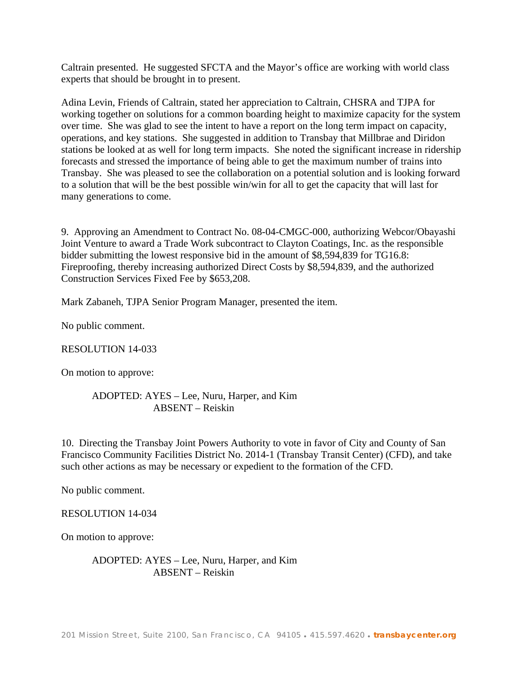Caltrain presented. He suggested SFCTA and the Mayor's office are working with world class experts that should be brought in to present.

Adina Levin, Friends of Caltrain, stated her appreciation to Caltrain, CHSRA and TJPA for working together on solutions for a common boarding height to maximize capacity for the system over time. She was glad to see the intent to have a report on the long term impact on capacity, operations, and key stations. She suggested in addition to Transbay that Millbrae and Diridon stations be looked at as well for long term impacts. She noted the significant increase in ridership forecasts and stressed the importance of being able to get the maximum number of trains into Transbay. She was pleased to see the collaboration on a potential solution and is looking forward to a solution that will be the best possible win/win for all to get the capacity that will last for many generations to come.

9. Approving an Amendment to Contract No. 08-04-CMGC-000, authorizing Webcor/Obayashi Joint Venture to award a Trade Work subcontract to Clayton Coatings, Inc. as the responsible bidder submitting the lowest responsive bid in the amount of \$8,594,839 for TG16.8: Fireproofing, thereby increasing authorized Direct Costs by \$8,594,839, and the authorized Construction Services Fixed Fee by \$653,208.

Mark Zabaneh, TJPA Senior Program Manager, presented the item.

No public comment.

#### RESOLUTION 14-033

On motion to approve:

## ADOPTED: AYES – Lee, Nuru, Harper, and Kim ABSENT – Reiskin

10. Directing the Transbay Joint Powers Authority to vote in favor of City and County of San Francisco Community Facilities District No. 2014-1 (Transbay Transit Center) (CFD), and take such other actions as may be necessary or expedient to the formation of the CFD.

No public comment.

RESOLUTION 14-034

On motion to approve:

ADOPTED: AYES – Lee, Nuru, Harper, and Kim ABSENT – Reiskin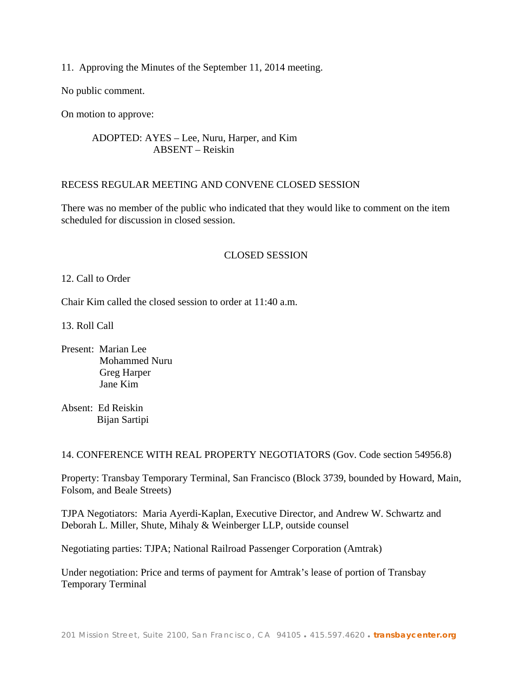11. Approving the Minutes of the September 11, 2014 meeting.

No public comment.

On motion to approve:

## ADOPTED: AYES – Lee, Nuru, Harper, and Kim ABSENT – Reiskin

## RECESS REGULAR MEETING AND CONVENE CLOSED SESSION

There was no member of the public who indicated that they would like to comment on the item scheduled for discussion in closed session.

## CLOSED SESSION

### 12. Call to Order

Chair Kim called the closed session to order at 11:40 a.m.

13. Roll Call

Present: Marian Lee Mohammed Nuru Greg Harper Jane Kim

Absent: Ed Reiskin Bijan Sartipi

14. CONFERENCE WITH REAL PROPERTY NEGOTIATORS (Gov. Code section 54956.8)

Property: Transbay Temporary Terminal, San Francisco (Block 3739, bounded by Howard, Main, Folsom, and Beale Streets)

TJPA Negotiators: Maria Ayerdi-Kaplan, Executive Director, and Andrew W. Schwartz and Deborah L. Miller, Shute, Mihaly & Weinberger LLP, outside counsel

Negotiating parties: TJPA; National Railroad Passenger Corporation (Amtrak)

Under negotiation: Price and terms of payment for Amtrak's lease of portion of Transbay Temporary Terminal